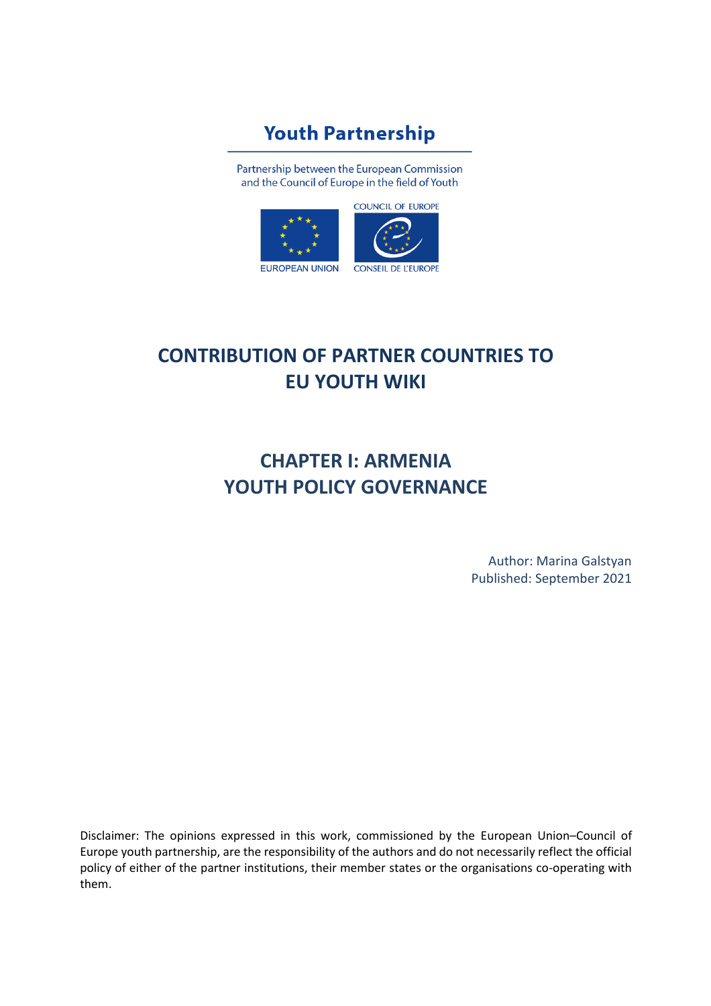# **Youth Partnership**

Partnership between the European Commission and the Council of Europe in the field of Youth



# **CONTRIBUTION OF PARTNER COUNTRIES TO EU YOUTH WIKI**

# **CHAPTER I: ARMENIA YOUTH POLICY GOVERNANCE**

Author: Marina Galstyan Published: September 2021

Disclaimer: The opinions expressed in this work, commissioned by the European Union–Council of Europe youth partnership, are the responsibility of the authors and do not necessarily reflect the official policy of either of the partner institutions, their member states or the organisations co-operating with them.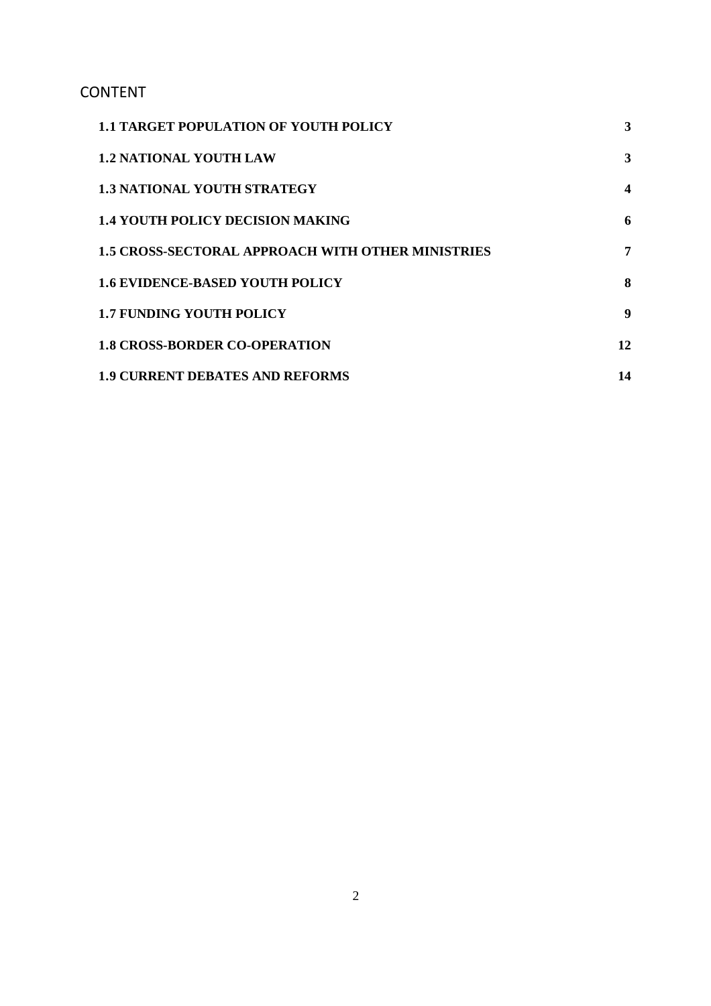# CONTENT

| <b>1.1 TARGET POPULATION OF YOUTH POLICY</b>             | 3                |
|----------------------------------------------------------|------------------|
| <b>1.2 NATIONAL YOUTH LAW</b>                            | 3                |
| <b>1.3 NATIONAL YOUTH STRATEGY</b>                       | $\boldsymbol{4}$ |
| <b>1.4 YOUTH POLICY DECISION MAKING</b>                  | 6                |
| <b>1.5 CROSS-SECTORAL APPROACH WITH OTHER MINISTRIES</b> | 7                |
| <b>1.6 EVIDENCE-BASED YOUTH POLICY</b>                   | 8                |
| <b>1.7 FUNDING YOUTH POLICY</b>                          | -9               |
| <b>1.8 CROSS-BORDER CO-OPERATION</b>                     | 12               |
| <b>1.9 CURRENT DEBATES AND REFORMS</b>                   | 14               |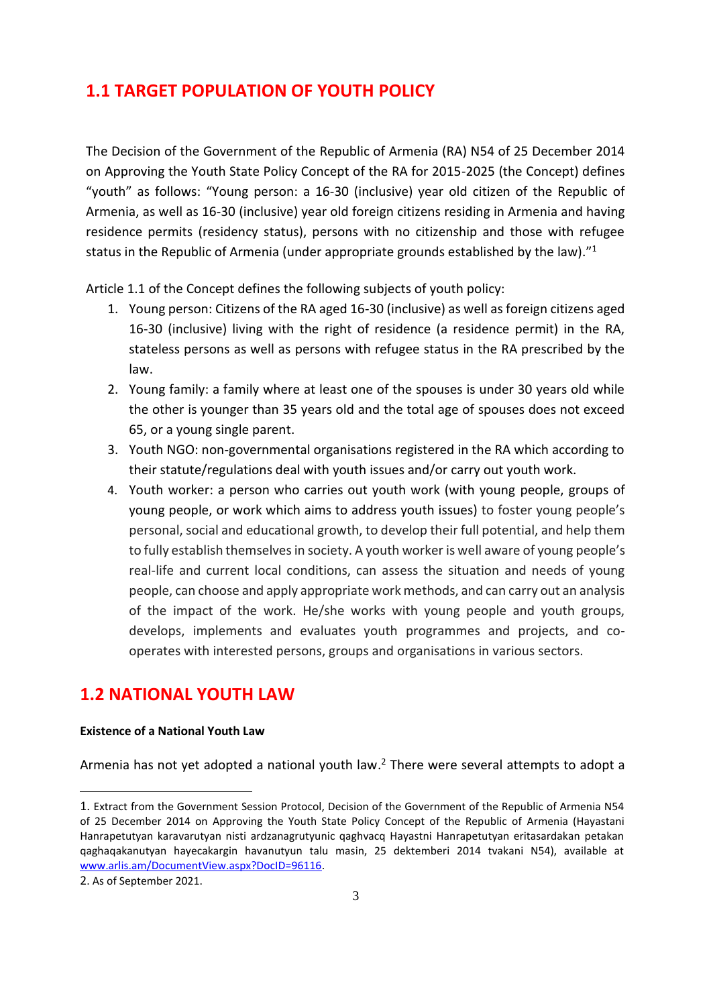### <span id="page-2-0"></span>**1․1 TARGET POPULATION OF YOUTH POLICY**

The Decision of the Government of the Republic of Armenia (RA) N54 of 25 December 2014 on Approving the Youth State Policy Concept of the RA for 2015-2025 (the Concept) defines "youth" as follows: "Young person: a 16-30 (inclusive) year old citizen of the Republic of Armenia, as well as 16-30 (inclusive) year old foreign citizens residing in Armenia and having residence permits (residency status), persons with no citizenship and those with refugee status in the Republic of Armenia (under appropriate grounds established by the law)."<sup>1</sup>

Article 1.1 of the Concept defines the following subjects of youth policy:

- 1. Young person: Citizens of the RA aged 16-30 (inclusive) as well as foreign citizens aged 16-30 (inclusive) living with the right of residence (a residence permit) in the RA, stateless persons as well as persons with refugee status in the RA prescribed by the law.
- 2. Young family: a family where at least one of the spouses is under 30 years old while the other is younger than 35 years old and the total age of spouses does not exceed 65, or a young single parent.
- 3. Youth NGO: non-governmental organisations registered in the RA which according to their statute/regulations deal with youth issues and/or carry out youth work.
- 4. Youth worker: a person who carries out youth work (with young people, groups of young people, or work which aims to address youth issues) to foster young people's personal, social and educational growth, to develop their full potential, and help them to fully establish themselves in society. A youth worker is well aware of young people's real-life and current local conditions, can assess the situation and needs of young people, can choose and apply appropriate work methods, and can carry out an analysis of the impact of the work. He/she works with young people and youth groups, develops, implements and evaluates youth programmes and projects, and cooperates with interested persons, groups and organisations in various sectors.

### <span id="page-2-1"></span>**1․2 NATIONAL YOUTH LAW**

#### **Existence of a National Youth Law**

Armenia has not yet adopted a national youth law.<sup>2</sup> There were several attempts to adopt a

<sup>1.</sup> Extract from the Government Session Protocol, Decision of the Government of the Republic of Armenia N54 of 25 December 2014 on Approving the Youth State Policy Concept of the Republic of Armenia (Hayastani Hanrapetutyan karavarutyan nisti ardzanagrutyunic qaghvacq Hayastni Hanrapetutyan eritasardakan petakan qaghaqakanutyan hayecakargin havanutyun talu masin, 25 dektemberi 2014 tvakani N54), available at [www.arlis.am/DocumentView.aspx?DocID=96116](file:///C:/Users/Ааааа/Downloads/www.arlis.am/DocumentView.aspx%3fDocID=96116)[.](http://www.arlis.am/DocumentView.aspx?DocID=96116)

<sup>2</sup>. As of September 2021.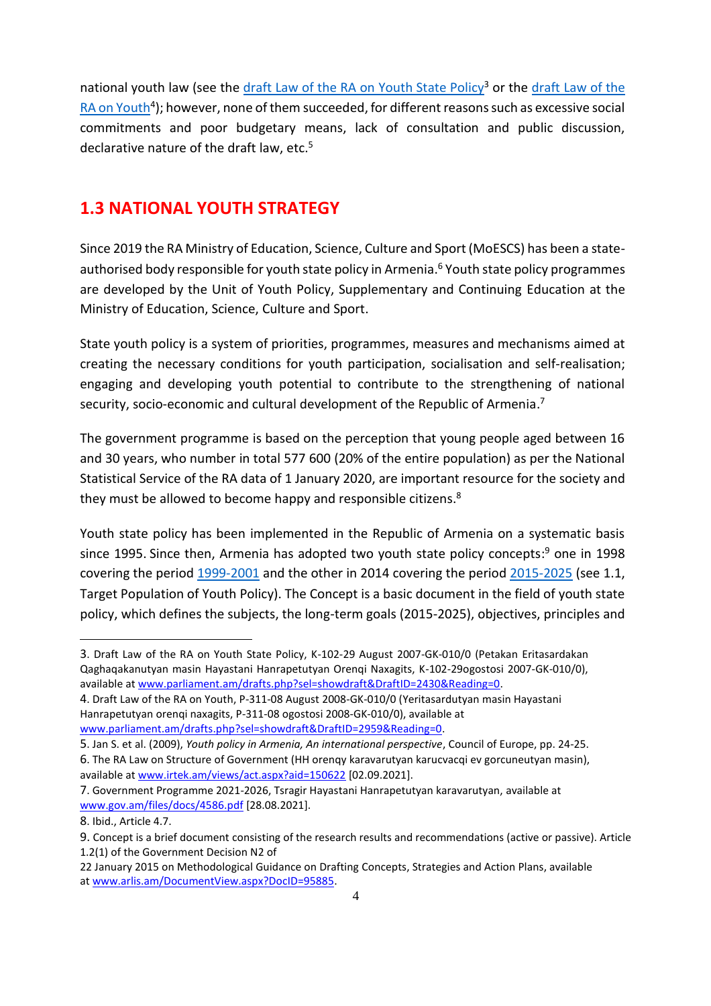national youth law (see the [draft Law of the RA on Youth State Policy](http://www.parliament.am/drafts.php?sel=showdraft&DraftID=2430&Reading=0)<sup>3</sup> or the [draft Law of the](http://www.parliament.am/drafts.php?sel=showdraft&DraftID=2959&Reading=0) [RA on Youth](http://www.parliament.am/drafts.php?sel=showdraft&DraftID=2959&Reading=0)<sup>4</sup>); however, none of them succeeded, for different reasons such as excessive social commitments and poor budgetary means, lack of consultation and public discussion, declarative nature of the draft law, etc.<sup>5</sup>

### <span id="page-3-0"></span>**1․3 NATIONAL YOUTH STRATEGY**

Since 2019 the RA Ministry of Education, Science, Culture and Sport (MoESCS) has been a stateauthorised body responsible for youth state policy in Armenia. <sup>6</sup> Youth state policy programmes are developed by the Unit of Youth Policy, Supplementary and Continuing Education at the Ministry of Education, Science, Culture and Sport.

State youth policy is a system of priorities, programmes, measures and mechanisms aimed at creating the necessary conditions for youth participation, socialisation and self-realisation; engaging and developing youth potential to contribute to the strengthening of national security, socio-economic and cultural development of the Republic of Armenia.<sup>7</sup>

The government programme is based on the perception that young people aged between 16 and 30 years, who number in total 577 600 (20% of the entire population) as per the National Statistical Service of the RA data of 1 January 2020, are important resource for the society and they must be allowed to become happy and responsible citizens.<sup>8</sup>

Youth state policy has been implemented in the Republic of Armenia on a systematic basis since 1995. Since then, Armenia has adopted two youth state policy concepts: <sup>9</sup> one in 1998 covering the period [1999-2001](http://www.arlis.am/DocumentView.aspx?docid=7000) and the other in 2014 covering the period [2015-2025](http://www.arlis.am/DocumentView.aspx?DocID=96116) (see 1.1, Target Population of Youth Policy). The Concept is a basic document in the field of youth state policy, which defines the subjects, the long-term goals (2015-2025), objectives, principles and

<sup>3</sup>. Draft Law of the RA on Youth State Policy, K-102-29 August 2007-GK-010/0 (Petakan Eritasardakan Qaghaqakanutyan masin Hayastani Hanrapetutyan Orenqi Naxagits, K-102-29ogostosi 2007-GK-010/0), available a[t www.parliament.am/drafts.php?sel=showdraft&DraftID=2430&Reading=0](file:///C:/Users/Ааааа/Downloads/www.parliament.am/drafts.php%3fsel=showdraft&DraftID=2430&Reading=0)[.](http://www.parliament.am/drafts.php?sel=showdraft&DraftID=2430&Reading=0)

<sup>4</sup>. Draft Law of the RA on Youth, P-311-08 August 2008-GK-010/0 (Yeritasardutyan masin Hayastani Hanrapetutyan orenqi naxagits, P-311-08 ogostosi 2008-GK-010/0), available at [www.parliament.am/drafts.php?sel=showdraft&DraftID=2959&Reading=0](file:///C:/Users/Ааааа/Downloads/www.parliament.am/drafts.php%3fsel=showdraft&DraftID=2959&Reading=0)[.](http://www.parliament.am/drafts.php?sel=showdraft&DraftID=2959&Reading=0)

<sup>5</sup>. Jan S. et al. (2009), *Youth policy in Armenia, An international perspective*, Council of Europe, pp. 24-25.

<sup>6</sup>. The RA Law on Structure of Government (HH orenqy karavarutyan karucvacqi ev gorcuneutyan masin), available at [www.irtek.am/views/act.aspx?aid=150622](file:///C:/Users/Ааааа/Downloads/www.irtek.am/views/act.aspx%3faid=150622) [02.09.2021].

<sup>7</sup>. Government Programme 2021-2026, Tsragir Hayastani Hanrapetutyan karavarutyan, available at [www.gov.am/files/docs/4586.pdf](file:///C:/Users/Ааааа/Downloads/www.gov.am/files/docs/4586.pdf) [28.08.2021].

<sup>8</sup>. Ibid., Article 4.7.

<sup>9.</sup> Concept is a brief document consisting of the research results and recommendations (active or passive). Article 1.2(1) of the Government Decision N2 of

<sup>22</sup> January 2015 on Methodological Guidance on Drafting Concepts, Strategies and Action Plans, available a[t www.arlis.am/DocumentView.aspx?DocID=95885](file:///C:/Users/Ааааа/Downloads/www.arlis.am/DocumentView.aspx%3fDocID=95885)[.](http://www.arlis.am/DocumentView.aspx?DocID=95885)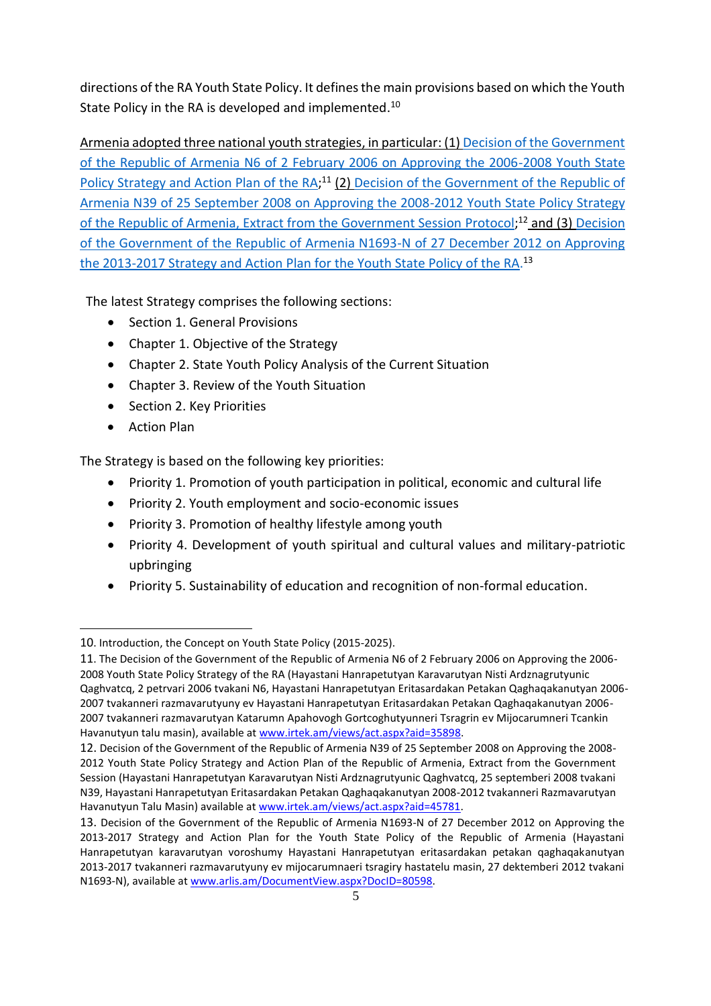directions of the RA Youth State Policy. It defines the main provisions based on which the Youth State Policy in the RA is developed and implemented.<sup>10</sup>

Armenia adopted three national youth strategies, in particular: (1[\) Decision of the](http://www.irtek.am/views/act.aspx?aid=35898) [Government](http://www.irtek.am/views/act.aspx?aid=35898)  [of the Republic of Armenia N6 of 2 February 2006 on Approving the 2006-2008](http://www.irtek.am/views/act.aspx?aid=35898) [Youth State](http://www.irtek.am/views/act.aspx?aid=35898)  [Policy Strategy and Action Plan of the RA;](http://www.irtek.am/views/act.aspx?aid=35898)<sup>11</sup> (2) [Decision of the Government of](http://www.irtek.am/views/act.aspx?aid=45781) the Republic of [Armenia N39 of 25 September 2008 on Approving the 2008-2012 Youth](http://www.irtek.am/views/act.aspx?aid=45781) [State Policy Strategy](http://www.irtek.am/views/act.aspx?aid=45781)  [of the Republic of Armenia, Extract from the Government Session](http://www.irtek.am/views/act.aspx?aid=45781) [Protocol;](http://www.irtek.am/views/act.aspx?aid=45781)<sup>12</sup> and (3) Decision [of the Government of the Republic of Armenia N1693-N of 27](http://www.arlis.am/DocumentView.aspx?DocID=80598) [December 2012 on Approving](http://www.arlis.am/DocumentView.aspx?DocID=80598)  [the 2013-2017 Strategy and Action Plan](http://www.arlis.am/DocumentView.aspx?DocID=80598) [for the Youth State](http://www.arlis.am/DocumentView.aspx?DocID=80598) [Policy of the RA.](http://www.arlis.am/DocumentView.aspx?DocID=80598)<sup>13</sup>

The latest Strategy comprises the following sections:

- Section 1. General Provisions
- Chapter 1. Objective of the Strategy
- Chapter 2. State Youth Policy Analysis of the Current Situation
- Chapter 3. Review of the Youth Situation
- Section 2. Key Priorities
- Action Plan

The Strategy is based on the following key priorities:

- Priority 1. Promotion of youth participation in political, economic and cultural life
- Priority 2. Youth employment and socio-economic issues
- Priority 3. Promotion of healthy lifestyle among youth
- Priority 4. Development of youth spiritual and cultural values and military-patriotic upbringing
- Priority 5. Sustainability of education and recognition of non-formal education.

<sup>10</sup>. Introduction, the Concept on Youth State Policy (2015-2025).

<sup>11</sup>. The Decision of the Government of the Republic of Armenia N6 of 2 February 2006 on Approving the 2006- 2008 Youth State Policy Strategy of the RA (Hayastani Hanrapetutyan Karavarutyan Nisti Ardznagrutyunic Qaghvatcq, 2 petrvari 2006 tvakani N6, Hayastani Hanrapetutyan Eritasardakan Petakan Qaghaqakanutyan 2006- 2007 tvakanneri razmavarutyuny ev Hayastani Hanrapetutyan Eritasardakan Petakan Qaghaqakanutyan 2006- 2007 tvakanneri razmavarutyan Katarumn Apahovogh Gortcoghutyunneri Tsragrin ev Mijocarumneri Tcankin Havanutyun talu masin), available at [www.irtek.am/views/act.aspx?aid=35898](file:///C:/Users/Ааааа/Downloads/www.irtek.am/views/act.aspx%3faid=35898)[.](http://www.irtek.am/views/act.aspx?aid=35898)

<sup>12.</sup> Decision of the Government of the Republic of Armenia N39 of 25 September 2008 on Approving the 2008- 2012 Youth State Policy Strategy and Action Plan of the Republic of Armenia, Extract from the Government Session (Hayastani Hanrapetutyan Karavarutyan Nisti Ardznagrutyunic Qaghvatcq, 25 septemberi 2008 tvakani N39, Hayastani Hanrapetutyan Eritasardakan Petakan Qaghaqakanutyan 2008-2012 tvakanneri Razmavarutyan Havanutyun Talu Masin) available a[t www.irtek.am/views/act.aspx?aid=45781](file:///C:/Users/Ааааа/Downloads/www.irtek.am/views/act.aspx%3faid=45781)[.](http://www.irtek.am/views/act.aspx?aid=45781)

<sup>13.</sup> Decision of the Government of the Republic of Armenia N1693-N of 27 December 2012 on Approving the 2013-2017 Strategy and Action Plan for the Youth State Policy of the Republic of Armenia (Hayastani Hanrapetutyan karavarutyan voroshumy Hayastani Hanrapetutyan eritasardakan petakan qaghaqakanutyan 2013-2017 tvakanneri razmavarutyuny ev mijocarumnaeri tsragiry hastatelu masin, 27 dektemberi 2012 tvakani N1693-N), available a[t www.arlis.am/DocumentView.aspx?DocID=80598.](file:///C:/Users/Ааааа/Downloads/www.arlis.am/DocumentView.aspx%3fDocID=80598)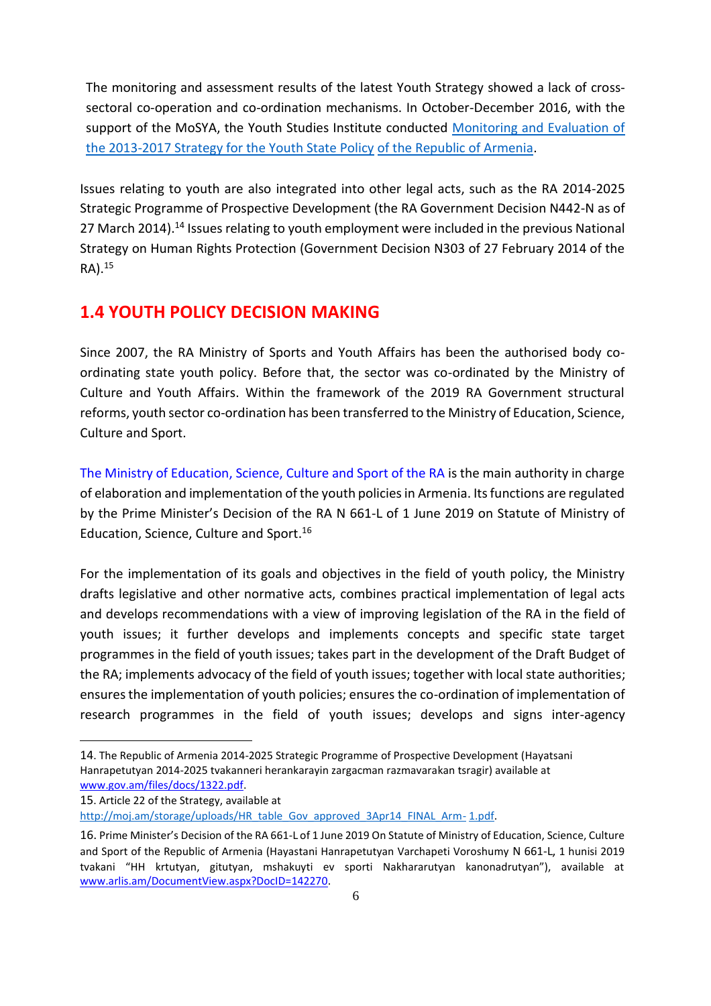The monitoring and assessment results of the latest Youth Strategy showed a lack of crosssectoral co-operation and co-ordination mechanisms. In October-December 2016, with the support of the MoSYA, the Youth Studies Institute conducted [Monitoring and Evaluation of](http://ystudies.am/reports/3768)  [the 2013-2017 Strategy for the Youth State Policy](http://ystudies.am/reports/3768) [of the Republic of Armenia.](http://ystudies.am/reports/3768)

Issues relating to youth are also integrated into other legal acts, such as the RA 2014-2025 Strategic Programme of Prospective Development (the RA Government Decision N442-N as of 27 March 2014).<sup>14</sup> Issues relating to youth employment were included in the previous National Strategy on Human Rights Protection (Government Decision N303 of 27 February 2014 of the RA). 15

#### <span id="page-5-0"></span>**1․4 YOUTH POLICY DECISION MAKING**

Since 2007, the RA Ministry of Sports and Youth Affairs has been the authorised body coordinating state youth policy. Before that, the sector was co-ordinated by the Ministry of Culture and Youth Affairs. Within the framework of the 2019 RA Government structural reforms, youth sector co-ordination has been transferred to the Ministry of Education, Science, Culture and Sport.

[The Ministry of Education, Science, Culture and Sport of the RA](https://escs.am/en) is the main authority in charge of elaboration and implementation of the youth policies in Armenia. Its functions are regulated by the Prime Minister's Decision of the RA N 661-Լ of 1 June 2019 on Statute of Ministry of Education, Science, Culture and Sport. 16

For the implementation of its goals and objectives in the field of youth policy, the Ministry drafts legislative and other normative acts, combines practical implementation of legal acts and develops recommendations with a view of improving legislation of the RA in the field of youth issues; it further develops and implements concepts and specific state target programmes in the field of youth issues; takes part in the development of the Draft Budget of the RA; implements advocacy of the field of youth issues; together with local state authorities; ensures the implementation of youth policies; ensures the co-ordination of implementation of research programmes in the field of youth issues; develops and signs inter-agency

[http://moj.am/storage/uploads/HR\\_table\\_Gov\\_approved\\_3Apr14\\_FINAL\\_Arm-](http://moj.am/storage/uploads/HR_table_Gov_approved_3Apr14_FINAL_Arm-1.pdf) [1.pdf.](http://moj.am/storage/uploads/HR_table_Gov_approved_3Apr14_FINAL_Arm-1.pdf)

<sup>14</sup>. The Republic of Armenia 2014-2025 Strategic Programme of Prospective Development (Hayatsani Hanrapetutyan 2014-2025 tvakanneri herankarayin zargacman razmavarakan tsragir) available at [www.gov.am/files/docs/1322.pdf](file:///C:/Users/Ааааа/Downloads/www.gov.am/files/docs/1322.pdf)[.](http://www.gov.am/files/docs/1322.pdf)

<sup>15</sup>. Article 22 of the Strategy, available at

<sup>16.</sup> Prime Minister's Decision of the RA 661-Լ of 1 June 2019 On Statute of Ministry of Education, Science, Culture and Sport of the Republic of Armenia (Hayastani Hanrapetutyan Varchapeti Voroshumy N 661-Լ, 1 hunisi 2019 tvakani "HH krtutyan, gitutyan, mshakuyti ev sporti Nakhararutyan kanonadrutyan"), available at [www.arlis.am/DocumentView.aspx?DocID=142270.](file:///C:/Users/Ааааа/Downloads/www.arlis.am/DocumentView.aspx%3fDocID=142270)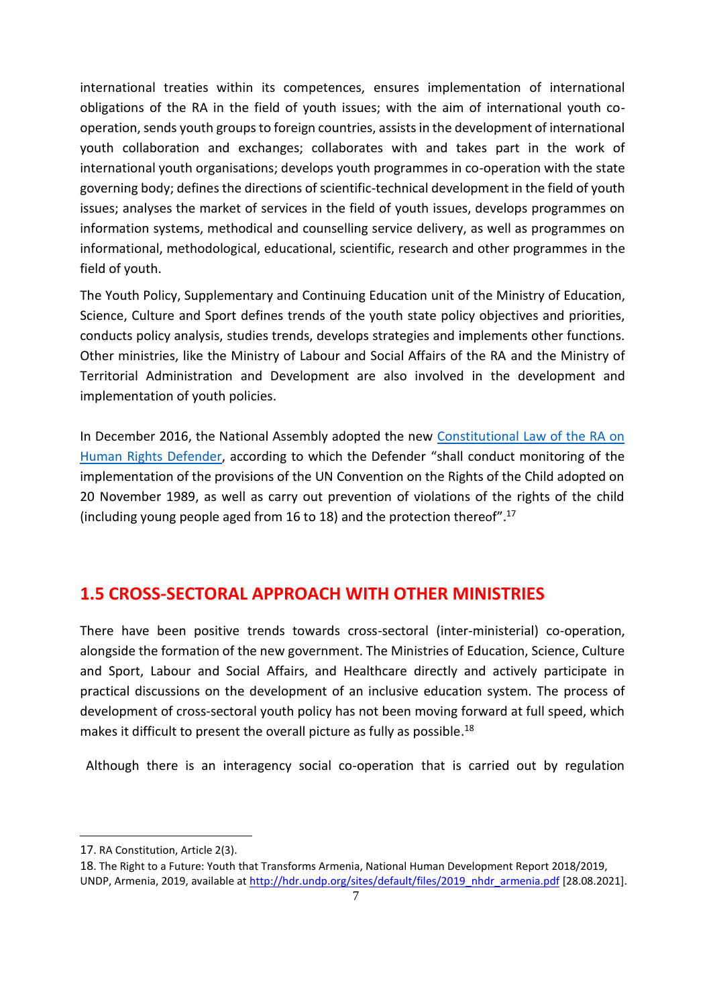international treaties within its competences, ensures implementation of international obligations of the RA in the field of youth issues; with the aim of international youth cooperation, sends youth groups to foreign countries, assists in the development of international youth collaboration and exchanges; collaborates with and takes part in the work of international youth organisations; develops youth programmes in co-operation with the state governing body; defines the directions of scientific-technical development in the field of youth issues; analyses the market of services in the field of youth issues, develops programmes on information systems, methodical and counselling service delivery, as well as programmes on informational, methodological, educational, scientific, research and other programmes in the field of youth.

The Youth Policy, Supplementary and Continuing Education unit of the Ministry of Education, Science, Culture and Sport defines trends of the youth state policy objectives and priorities, conducts policy analysis, studies trends, develops strategies and implements other functions. Other ministries, like the Ministry of Labour and Social Affairs of the RA and the Ministry of Territorial Administration and Development are also involved in the development and implementation of youth policies.

In December 2016, the National Assembly adopted the new [Constitutional Law of the RA on](http://www.irtek.am/views/act.aspx?aid=88102&m=%27%27&sc) [Human Rights Defender,](http://www.irtek.am/views/act.aspx?aid=88102&m=%27%27&sc) according to which the Defender "shall conduct monitoring of the implementation of the provisions of the UN Convention on the Rights of the Child adopted on 20 November 1989, as well as carry out prevention of violations of the rights of the child (including young people aged from 16 to 18) and the protection thereof".<sup>17</sup>

### <span id="page-6-0"></span>**1․5 CROSS-SECTORAL APPROACH WITH OTHER MINISTRIES**

There have been positive trends towards cross-sectoral (inter-ministerial) co-operation, alongside the formation of the new government. The Ministries of Education, Science, Culture and Sport, Labour and Social Affairs, and Healthcare directly and actively participate in practical discussions on the development of an inclusive education system. The process of development of cross-sectoral youth policy has not been moving forward at full speed, which makes it difficult to present the overall picture as fully as possible.<sup>18</sup>

Although there is an interagency social co-operation that is carried out by regulation

<sup>17</sup>. RA Constitution, Article 2(3).

<sup>18</sup>. The Right to a Future: Youth that Transforms Armenia, National Human Development Report 2018/2019, UNDP, Armenia, 2019, available at [http://hdr.undp.org/sites/default/files/2019\\_nhdr\\_armenia.pdf](http://hdr.undp.org/sites/default/files/2019_nhdr_armenia.pdf) [28.08.2021].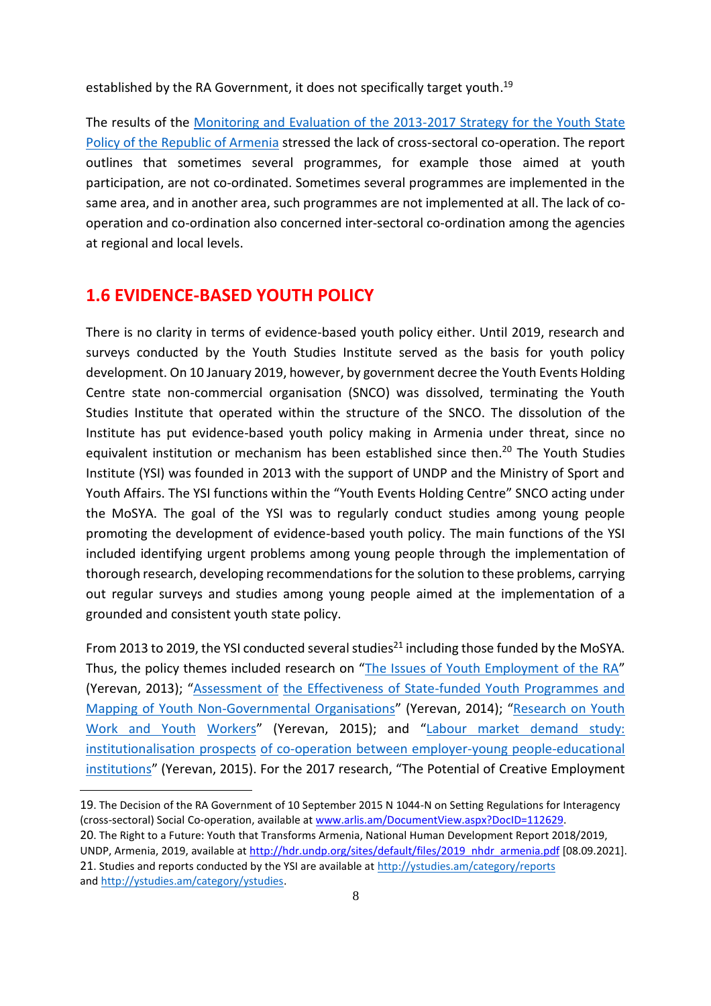established by the RA Government, it does not specifically target youth.<sup>19</sup>

The results of the [Monitoring and Evaluation of the 2013-2017 Strategy for the Youth State](http://ystudies.am/reports/3768) [Policy of the Republic of Armenia](http://ystudies.am/reports/3768) stressed the lack of cross-sectoral co-operation. The report outlines that sometimes several programmes, for example those aimed at youth participation, are not co-ordinated. Sometimes several programmes are implemented in the same area, and in another area, such programmes are not implemented at all. The lack of cooperation and co-ordination also concerned inter-sectoral co-ordination among the agencies at regional and local levels.

#### <span id="page-7-0"></span>**1․6 EVIDENCE-BASED YOUTH POLICY**

There is no clarity in terms of evidence-based youth policy either. Until 2019, research and surveys conducted by the Youth Studies Institute served as the basis for youth policy development. On 10 January 2019, however, by government decree the Youth Events Holding Centre state non-commercial organisation (SNCO) was dissolved, terminating the Youth Studies Institute that operated within the structure of the SNCO. The dissolution of the Institute has put evidence-based youth policy making in Armenia under threat, since no equivalent institution or mechanism has been established since then. <sup>20</sup> The Youth Studies Institute (YSI) was founded in 2013 with the support of UNDP and the Ministry of Sport and Youth Affairs. The YSI functions within the "Youth Events Holding Centre" SNCO acting under the MoSYA. The goal of the YSI was to regularly conduct studies among young people promoting the development of evidence-based youth policy. The main functions of the YSI included identifying urgent problems among young people through the implementation of thorough research, developing recommendations for the solution to these problems, carrying out regular surveys and studies among young people aimed at the implementation of a grounded and consistent youth state policy.

From 2013 to 2019, the YSI conducted several studies<sup>21</sup> including those funded by the MoSYA. Thus, the policy themes included research on "[The Issues of Youth Employment of the RA](http://www.minsportyouth.am/files/post/1463655073-2.pdf)" (Yerevan, 2013); "[Assessment of](http://www.minsportyouth.am/files/post/1463655965-4.pdf) [the Effectiveness of State-funded Youth Programmes and](http://www.minsportyouth.am/files/post/1463655965-4.pdf)  [Mapping of Youth Non-Governmental Organisations](http://www.minsportyouth.am/files/post/1463655965-4.pdf)" (Yerevan, 2014); "[Research on Youth](http://ystudies.am/wp-content/uploads/2017/05/%D4%B5%D6%80%D5%AB%D5%BF%D5%A1%D5%BD%D5%A1%D6%80%D5%A4%D5%A1%D5%AF%D5%A1%D5%B6-%D5%A1%D5%B7%D5%AD%D5%A1%D5%BF%D5%A1%D5%B6%D6%84%D5%AB-%D6%87-%D5%A5%D6%80%D5%AB%D5%BF%D5%A1%D5%BD%D5%A1%D6%80%D5%A4%D5%A1)  [Work and Youth](http://ystudies.am/wp-content/uploads/2017/05/%D4%B5%D6%80%D5%AB%D5%BF%D5%A1%D5%BD%D5%A1%D6%80%D5%A4%D5%A1%D5%AF%D5%A1%D5%B6-%D5%A1%D5%B7%D5%AD%D5%A1%D5%BF%D5%A1%D5%B6%D6%84%D5%AB-%D6%87-%D5%A5%D6%80%D5%AB%D5%BF%D5%A1%D5%BD%D5%A1%D6%80%D5%A4%D5%A1) [Workers](http://ystudies.am/wp-content/uploads/2017/05/%D4%B5%D6%80%D5%AB%D5%BF%D5%A1%D5%BD%D5%A1%D6%80%D5%A4%D5%A1%D5%AF%D5%A1%D5%B6-%D5%A1%D5%B7%D5%AD%D5%A1%D5%BF%D5%A1%D5%B6%D6%84%D5%AB-%D6%87-%D5%A5%D6%80%D5%AB%D5%BF%D5%A1%D5%BD%D5%A1%D6%80%D5%A4%D5%A1)" (Yerevan, 2015); and "[Labour market demand study:](http://www.minsportyouth.am/files/post/1463656793-1%20(1).pdf)  [institutionalisation prospects](http://www.minsportyouth.am/files/post/1463656793-1%20(1).pdf) [of co-operation between employer-young people-educational](http://www.minsportyouth.am/files/post/1463656793-1%20(1).pdf)  [institutions](http://www.minsportyouth.am/files/post/1463656793-1%20(1).pdf)" (Yerevan, 2015). For the 2017 research, "The Potential of Creative Employment

<sup>19</sup>. The Decision of the RA Government of 10 September 2015 N 1044-N on Setting Regulations for Interagency (cross-sectoral) Social Co-operation, available at [www.arlis.am/DocumentView.aspx?DocID=112629.](http://www.arlis.am/DocumentView.aspx?DocID=112629) 20. The Right to a Future: Youth that Transforms Armenia, National Human Development Report 2018/2019, UNDP, Armenia, 2019, available at [http://hdr.undp.org/sites/default/files/2019\\_nhdr\\_armenia.pdf](http://hdr.undp.org/sites/default/files/2019_nhdr_armenia.pdf) [08.09.2021]. 21. Studies and reports conducted by the YSI are available at<http://ystudies.am/category/reports> an[d http://ystudies.am/category/ystudies.](http://ystudies.am/category/ystudies)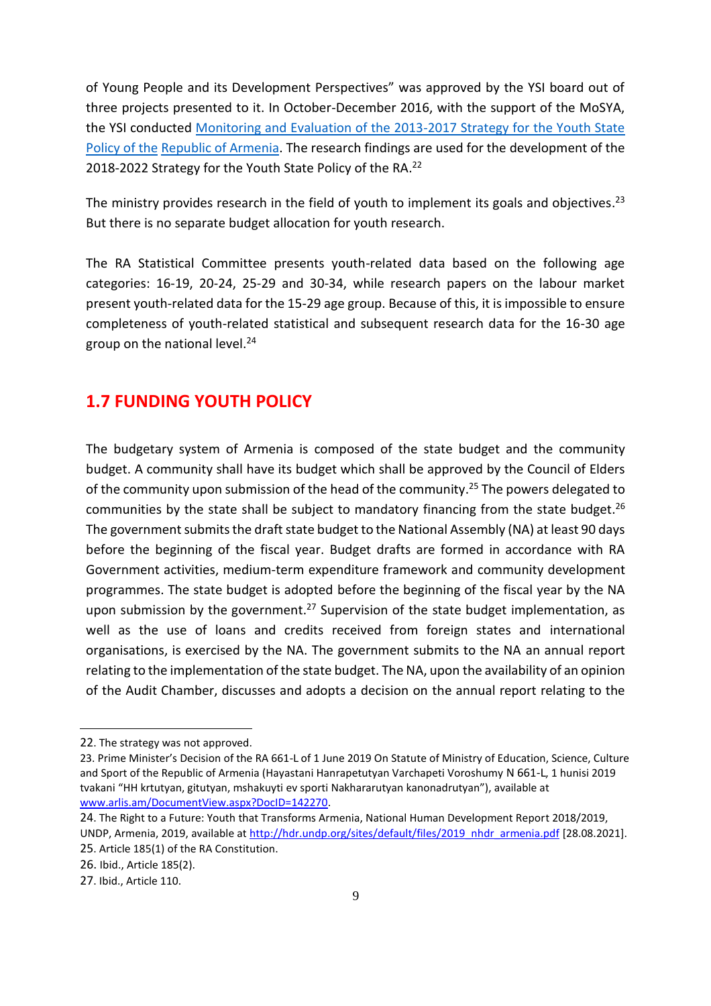of Young People and its Development Perspectives" was approved by the YSI board out of three projects presented to it. In October-December 2016, with the support of the MoSYA, the YSI conducted [Monitoring and Evaluation of the 2013-2017 Strategy for the Youth State](http://ystudies.am/reports/3768)  [Policy of the](http://ystudies.am/reports/3768) [Republic of Armenia. T](http://ystudies.am/reports/3768)he research findings are used for the development of the 2018-2022 Strategy for the Youth State Policy of the RA. 22

The ministry provides research in the field of youth to implement its goals and objectives.<sup>23</sup> But there is no separate budget allocation for youth research.

The RA Statistical Committee presents youth-related data based on the following age categories: 16-19, 20-24, 25-29 and 30-34, while research papers on the labour market present youth-related data for the 15-29 age group. Because of this, it is impossible to ensure completeness of youth-related statistical and subsequent research data for the 16-30 age group on the national level. 24

### <span id="page-8-0"></span>**1․7 FUNDING YOUTH POLICY**

The budgetary system of Armenia is composed of the state budget and the community budget. A community shall have its budget which shall be approved by the Council of Elders of the community upon submission of the head of the community.<sup>25</sup> The powers delegated to communities by the state shall be subject to mandatory financing from the state budget.<sup>26</sup> The government submits the draft state budget to the National Assembly (NA) at least 90 days before the beginning of the fiscal year. Budget drafts are formed in accordance with RA Government activities, medium-term expenditure framework and community development programmes. The state budget is adopted before the beginning of the fiscal year by the NA upon submission by the government.<sup>27</sup> Supervision of the state budget implementation, as well as the use of loans and credits received from foreign states and international organisations, is exercised by the NA. The government submits to the NA an annual report relating to the implementation of the state budget. The NA, upon the availability of an opinion of the Audit Chamber, discusses and adopts a decision on the annual report relating to the

24. The Right to a Future: Youth that Transforms Armenia, National Human Development Report 2018/2019, UNDP, Armenia, 2019, available at [http://hdr.undp.org/sites/default/files/2019\\_nhdr\\_armenia.pdf](http://hdr.undp.org/sites/default/files/2019_nhdr_armenia.pdf) [28.08.2021].

<sup>22</sup>. The strategy was not approved.

<sup>23.</sup> Prime Minister's Decision of the RA 661-Լ of 1 June 2019 On Statute of Ministry of Education, Science, Culture and Sport of the Republic of Armenia (Hayastani Hanrapetutyan Varchapeti Voroshumy N 661-Լ, 1 hunisi 2019 tvakani "HH krtutyan, gitutyan, mshakuyti ev sporti Nakhararutyan kanonadrutyan"), available at [www.arlis.am/DocumentView.aspx?DocID=142270.](http://www.arlis.am/DocumentView.aspx?DocID=142270)

<sup>25</sup>. Article 185(1) of the RA Constitution.

<sup>26.</sup> Ibid., Article 185(2).

<sup>27</sup>. Ibid., Article 110.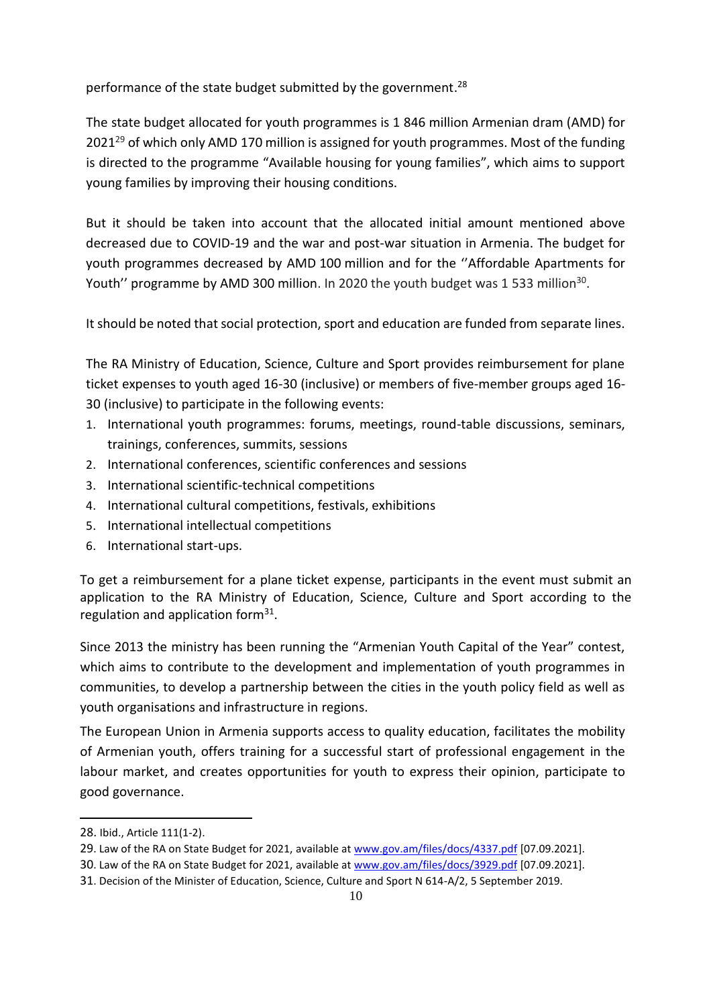performance of the state budget submitted by the government.<sup>28</sup>

The state budget allocated for youth programmes is 1 846 million Armenian dram (AMD) for 2021<sup>29</sup> of which only AMD 170 million is assigned for youth programmes. Most of the funding is directed to the programme "Available housing for young families", which aims to support young families by improving their housing conditions.

But it should be taken into account that the allocated initial amount mentioned above decreased due to COVID-19 and the war and post-war situation in Armenia. The budget for youth programmes decreased by AMD 100 million and for the ''Affordable Apartments for Youth'' programme by AMD 300 million. In 2020 the youth budget was 1 533 million $^{30}$ .

It should be noted that social protection, sport and education are funded from separate lines.

The RA Ministry of Education, Science, Culture and Sport provides reimbursement for plane ticket expenses to youth aged 16-30 (inclusive) or members of five-member groups aged 16- 30 (inclusive) to participate in the following events:

- 1. International youth programmes: forums, meetings, round-table discussions, seminars, trainings, conferences, summits, sessions
- 2. International conferences, scientific conferences and sessions
- 3. International scientific-technical competitions
- 4. International cultural competitions, festivals, exhibitions
- 5. International intellectual competitions
- 6. International start-ups.

To get a reimbursement for a plane ticket expense, participants in the event must submit an application to the RA Ministry of Education, Science, Culture and Sport according to the regulation and application form<sup>31</sup>.

Since 2013 the ministry has been running the "Armenian Youth Capital of the Year" contest, which aims to contribute to the development and implementation of youth programmes in communities, to develop a partnership between the cities in the youth policy field as well as youth organisations and infrastructure in regions.

The European Union in Armenia supports access to quality education, facilitates the mobility of Armenian youth, offers training for a successful start of professional engagement in the labour market, and creates opportunities for youth to express their opinion, participate to good governance.

<sup>28.</sup> Ibid., Article 111(1-2).

<sup>29.</sup> Law of the RA on State Budget for 2021, available at [www.gov.am/files/docs/4337.pdf](http://www.gov.am/files/docs/4337.pdf) [07.09.2021].

<sup>30.</sup> Law of the RA on State Budget for 2021, available a[t www.gov.am/files/docs/3929.pdf](http://www.gov.am/files/docs/3929.pdf) [07.09.2021].

<sup>31</sup>. [Decision of the Minister of Education, Science, Culture and Sport N 614-A/2, 5 September 2019.](http://dev2.ktak.am/am/news/4961)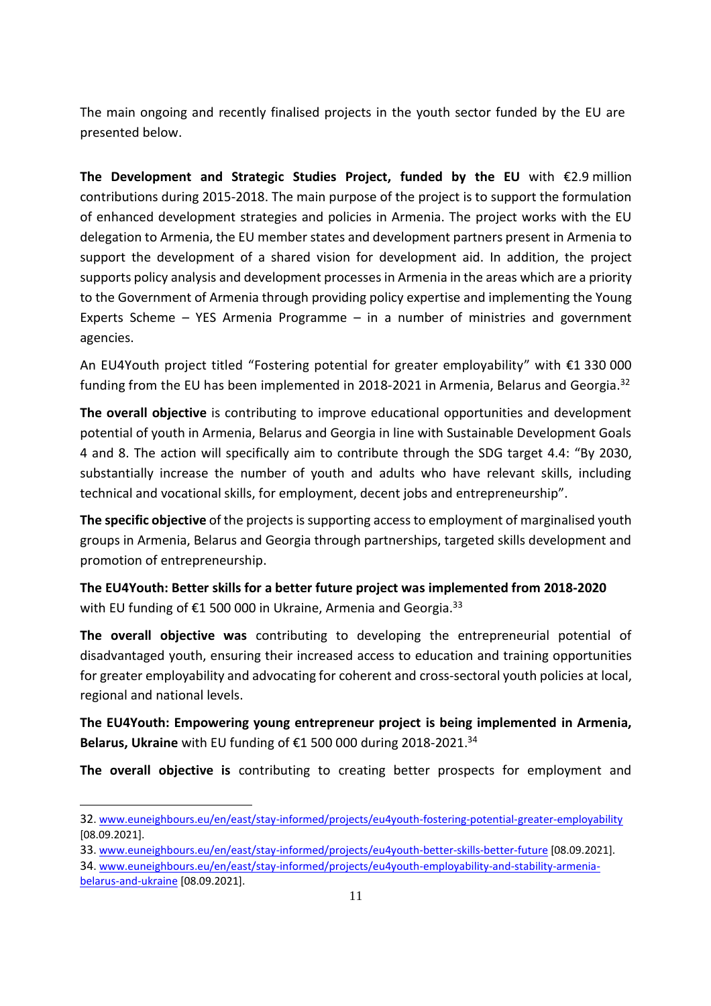The main ongoing and recently finalised projects in the youth sector funded by the EU are presented below.

**The Development and Strategic Studies Project, funded by the EU** with €2.9 million contributions during 2015-2018. The main purpose of the project is to support the formulation of enhanced development strategies and policies in Armenia. The project works with the EU delegation to Armenia, the EU member states and development partners present in Armenia to support the development of a shared vision for development aid. In addition, the project supports policy analysis and development processes in Armenia in the areas which are a priority to the Government of Armenia through providing policy expertise and implementing the Young Experts Scheme – YES Armenia Programme – in a number of ministries and government agencies.

An EU4Youth project titled "Fostering potential for greater employability" with €1 330 000 funding from the EU has been implemented in 2018-2021 in Armenia, Belarus and Georgia.<sup>32</sup>

**The overall objective** is contributing to improve educational opportunities and development potential of youth in Armenia, Belarus and Georgia in line with Sustainable Development Goals 4 and 8. The action will specifically aim to contribute through the SDG target 4.4: "By 2030, substantially increase the number of youth and adults who have relevant skills, including technical and vocational skills, for employment, decent jobs and entrepreneurship".

**The specific objective** of the projects is supporting access to employment of marginalised youth groups in Armenia, Belarus and Georgia through partnerships, targeted skills development and promotion of entrepreneurship.

**The EU4Youth: Better skills for a better future project was implemented from 2018-2020**  with EU funding of €1 500 000 in Ukraine, Armenia and Georgia.<sup>33</sup>

**The overall objective was** contributing to developing the entrepreneurial potential of disadvantaged youth, ensuring their increased access to education and training opportunities for greater employability and advocating for coherent and cross-sectoral youth policies at local, regional and national levels.

**The EU4Youth: Empowering young entrepreneur project is being implemented in Armenia, Belarus, Ukraine** with EU funding of €1 500 000 during 2018-2021.<sup>34</sup>

**The overall objective is** contributing to creating better prospects for employment and

[belarus-and-ukraine](http://www.euneighbours.eu/en/east/stay-informed/projects/eu4youth-employability-and-stability-armenia-belarus-and-ukraine) [08.09.2021].

<sup>32</sup>. [www.euneighbours.eu/en/east/stay-informed/projects/eu4youth-fostering-potential-greater-employability](http://www.euneighbours.eu/en/east/stay-informed/projects/eu4youth-fostering-potential-greater-employability) [08.09.2021].

<sup>33</sup>. [www.euneighbours.eu/en/east/stay-informed/projects/eu4youth-better-skills-better-future](http://www.euneighbours.eu/en/east/stay-informed/projects/eu4youth-better-skills-better-future) [08.09.2021].

<sup>34</sup>. [www.euneighbours.eu/en/east/stay-informed/projects/eu4youth-employability-and-stability-armenia-](http://www.euneighbours.eu/en/east/stay-informed/projects/eu4youth-employability-and-stability-armenia-belarus-and-ukraine)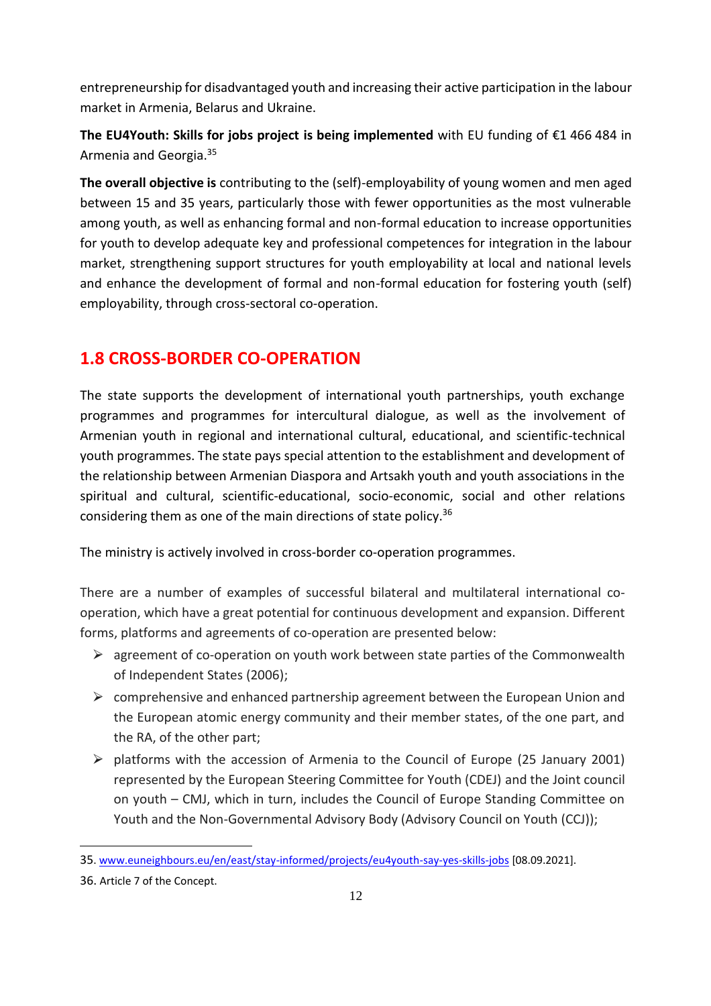entrepreneurship for disadvantaged youth and increasing their active participation in the labour market in Armenia, Belarus and Ukraine.

**The EU4Youth: Skills for jobs project is being implemented** with EU funding of €1 466 484 in Armenia and Georgia. 35

**The overall objective is** contributing to the (self)-employability of young women and men aged between 15 and 35 years, particularly those with fewer opportunities as the most vulnerable among youth, as well as enhancing formal and non-formal education to increase opportunities for youth to develop adequate key and professional competences for integration in the labour market, strengthening support structures for youth employability at local and national levels and enhance the development of formal and non-formal education for fostering youth (self) employability, through cross-sectoral co-operation.

# <span id="page-11-0"></span>**1․8 CROSS-BORDER CO-OPERATION**

The state supports the development of international youth partnerships, youth exchange programmes and programmes for intercultural dialogue, as well as the involvement of Armenian youth in regional and international cultural, educational, and scientific-technical youth programmes. The state pays special attention to the establishment and development of the relationship between Armenian Diaspora and Artsakh youth and youth associations in the spiritual and cultural, scientific-educational, socio-economic, social and other relations considering them as one of the main directions of state policy. 36

The ministry is actively involved in cross-border co-operation programmes.

There are a number of examples of successful bilateral and multilateral international cooperation, which have a great potential for continuous development and expansion. Different forms, platforms and agreements of co-operation are presented below:

- $\triangleright$  agreement of co-operation on youth work between state parties of the Commonwealth of Independent States (2006);
- $\triangleright$  comprehensive and enhanced partnership agreement between the European Union and the European atomic energy community and their member states, of the one part, and the RA, of the other part;
- $\triangleright$  platforms with the accession of Armenia to the Council of Europe (25 January 2001) represented by the European Steering Committee for Youth (CDEJ) and the Joint council on youth – CMJ, which in turn, includes the Council of Europe Standing Committee on Youth and the Non-Governmental Advisory Body (Advisory Council on Youth (CCJ));

<sup>35</sup>. [www.euneighbours.eu/en/east/stay-informed/projects/eu4youth-say-yes-skills-jobs](http://www.euneighbours.eu/en/east/stay-informed/projects/eu4youth-say-yes-skills-jobs) [08.09.2021].

<sup>36.</sup> Article 7 of the Concept.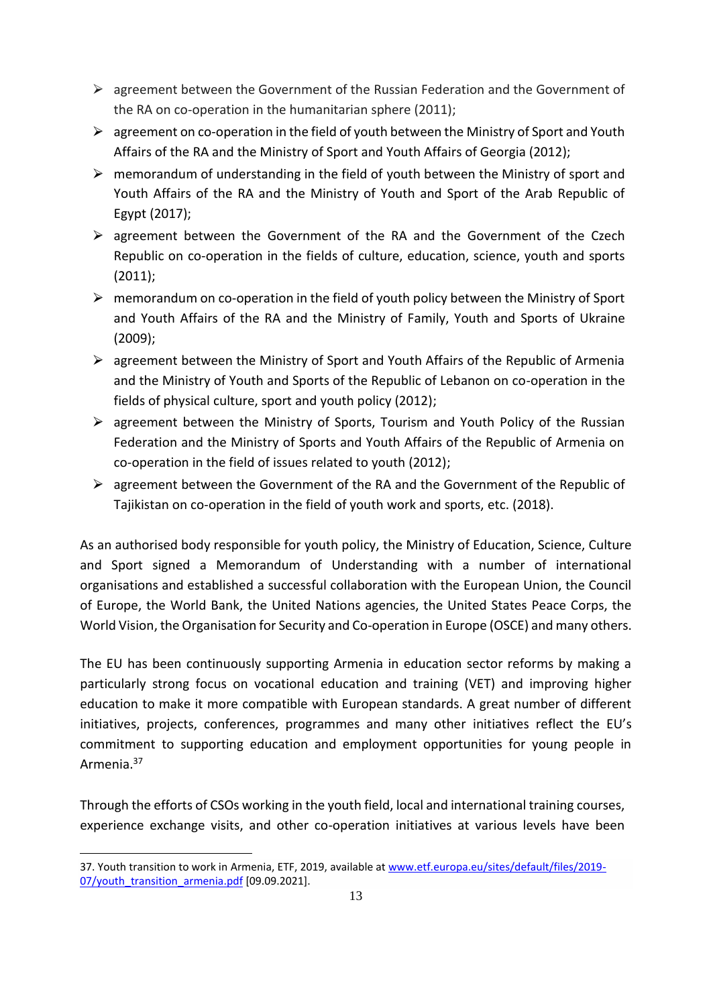- $\triangleright$  agreement between the Government of the Russian Federation and the Government of the RA on co-operation in the humanitarian sphere (2011);
- $\triangleright$  agreement on co-operation in the field of youth between the Ministry of Sport and Youth Affairs of the RA and the Ministry of Sport and Youth Affairs of Georgia (2012);
- $\triangleright$  memorandum of understanding in the field of youth between the Ministry of sport and Youth Affairs of the RA and the Ministry of Youth and Sport of the Arab Republic of Egypt (2017);
- $\triangleright$  agreement between the Government of the RA and the Government of the Czech Republic on co-operation in the fields of culture, education, science, youth and sports (2011);
- $\triangleright$  memorandum on co-operation in the field of youth policy between the Ministry of Sport and Youth Affairs of the RA and the Ministry of Family, Youth and Sports of Ukraine (2009);
- $\triangleright$  agreement between the Ministry of Sport and Youth Affairs of the Republic of Armenia and the Ministry of Youth and Sports of the Republic of Lebanon on co-operation in the fields of physical culture, sport and youth policy (2012);
- $\triangleright$  agreement between the Ministry of Sports, Tourism and Youth Policy of the Russian Federation and the Ministry of Sports and Youth Affairs of the Republic of Armenia on co-operation in the field of issues related to youth (2012);
- $\triangleright$  agreement between the Government of the RA and the Government of the Republic of Tajikistan on co-operation in the field of youth work and sports, etc. (2018).

As an authorised body responsible for youth policy, the Ministry of Education, Science, Culture and Sport signed a Memorandum of Understanding with a number of international organisations and established a successful collaboration with the European Union, the Council of Europe, the World Bank, the United Nations agencies, the United States Peace Corps, the World Vision, the Organisation for Security and Co-operation in Europe (OSCE) and many others.

The EU has been continuously supporting Armenia in education sector reforms by making a particularly strong focus on vocational education and training (VET) and improving higher education to make it more compatible with European standards. A great number of different initiatives, projects, conferences, programmes and many other initiatives reflect the EU's commitment to supporting education and employment opportunities for young people in Armenia.<sup>37</sup>

Through the efforts of CSOs working in the youth field, local and international training courses, experience exchange visits, and other co-operation initiatives at various levels have been

<sup>37.</sup> Youth transition to work in Armenia, ETF, 2019, available at [www.etf.europa.eu/sites/default/files/2019-](http://www.etf.europa.eu/sites/default/files/2019-07/youth_transition_armenia.pdf) 07/youth transition armenia.pdf [09.09.2021].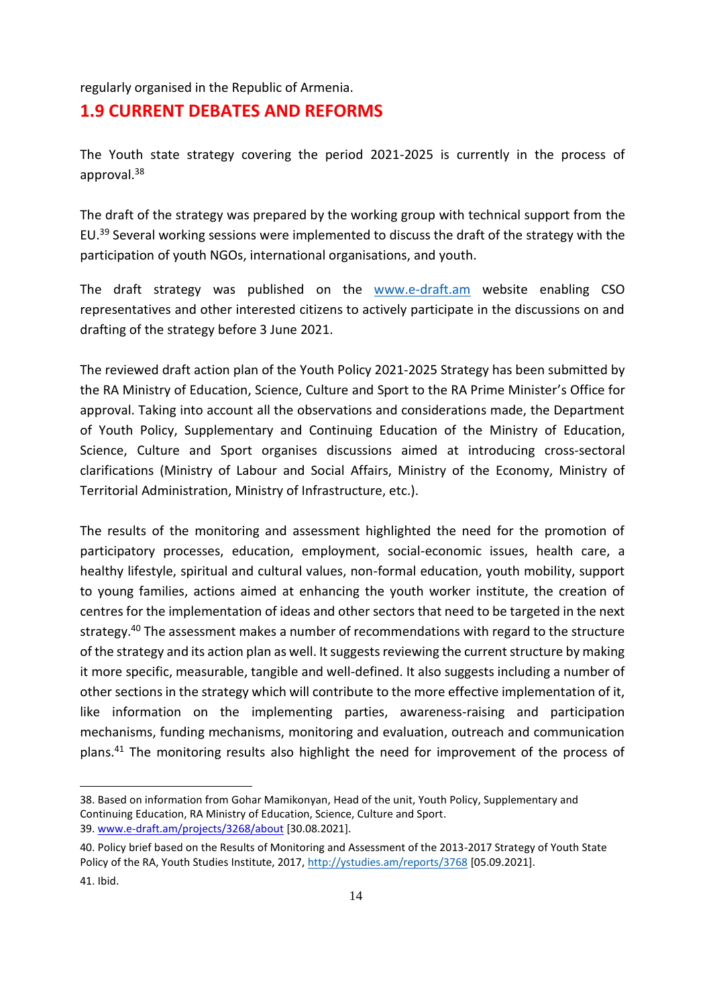regularly organised in the Republic of Armenia.

#### <span id="page-13-0"></span>**1․9 CURRENT DEBATES AND REFORMS**

The Youth state strategy covering the period 2021-2025 is currently in the process of approval. 38

The draft of the strategy was prepared by the working group with technical support from the EU.<sup>39</sup> Several working sessions were implemented to discuss the draft of the strategy with the participation of youth NGOs, international organisations, and youth.

The draft strategy was published on the [www.e-draft.am](http://www.e-draft.am/) website enabling CSO representatives and other interested citizens to actively participate in the discussions on and drafting of the strategy before 3 June 2021.

The reviewed draft action plan of the Youth Policy 2021-2025 Strategy has been submitted by the RA Ministry of Education, Science, Culture and Sport to the RA Prime Minister's Office for approval. Taking into account all the observations and considerations made, the Department of Youth Policy, Supplementary and Continuing Education of the Ministry of Education, Science, Culture and Sport organises discussions aimed at introducing cross-sectoral clarifications (Ministry of Labour and Social Affairs, Ministry of the Economy, Ministry of Territorial Administration, Ministry of Infrastructure, etc.).

The results of the monitoring and assessment highlighted the need for the promotion of participatory processes, education, employment, social-economic issues, health care, a healthy lifestyle, spiritual and cultural values, non-formal education, youth mobility, support to young families, actions aimed at enhancing the youth worker institute, the creation of centres for the implementation of ideas and other sectors that need to be targeted in the next strategy.<sup>40</sup> The assessment makes a number of recommendations with regard to the structure of the strategy and its action plan as well. It suggests reviewing the current structure by making it more specific, measurable, tangible and well-defined. It also suggests including a number of other sections in the strategy which will contribute to the more effective implementation of it, like information on the implementing parties, awareness-raising and participation mechanisms, funding mechanisms, monitoring and evaluation, outreach and communication plans.<sup>41</sup> The monitoring results also highlight the need for improvement of the process of

<sup>38.</sup> Based on information from Gohar Mamikonyan, Head of the unit, Youth Policy, Supplementary and Continuing Education, RA Ministry of Education, Science, Culture and Sport. 39. [www.e-draft.am/projects/3268/about](http://www.e-draft.am/projects/3268/about) [30.08.2021].

<sup>40.</sup> Policy brief based on the Results of Monitoring and Assessment of the 2013-2017 Strategy of Youth State Policy of the RA, Youth Studies Institute, 2017, <http://ystudies.am/reports/3768> [05.09.2021].

<sup>41.</sup> Ibid.